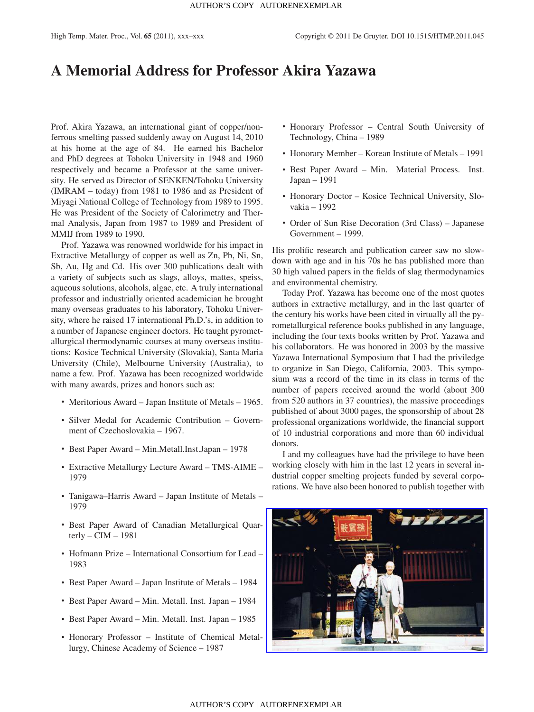## **A Memorial Address for Professor Akira Yazawa**

Prof. Akira Yazawa, an international giant of copper/nonferrous smelting passed suddenly away on August 14, 2010 at his home at the age of 84. He earned his Bachelor and PhD degrees at Tohoku University in 1948 and 1960 respectively and became a Professor at the same university. He served as Director of SENKEN/Tohoku University (IMRAM – today) from 1981 to 1986 and as President of Miyagi National College of Technology from 1989 to 1995. He was President of the Society of Calorimetry and Thermal Analysis, Japan from 1987 to 1989 and President of MMIJ from 1989 to 1990.

Prof. Yazawa was renowned worldwide for his impact in Extractive Metallurgy of copper as well as Zn, Pb, Ni, Sn, Sb, Au, Hg and Cd. His over 300 publications dealt with a variety of subjects such as slags, alloys, mattes, speiss, aqueous solutions, alcohols, algae, etc. A truly international professor and industrially oriented academician he brought many overseas graduates to his laboratory, Tohoku University, where he raised 17 international Ph.D.'s, in addition to a number of Japanese engineer doctors. He taught pyrometallurgical thermodynamic courses at many overseas institutions: Kosice Technical University (Slovakia), Santa Maria University (Chile), Melbourne University (Australia), to name a few. Prof. Yazawa has been recognized worldwide with many awards, prizes and honors such as:

- Meritorious Award Japan Institute of Metals 1965.
- Silver Medal for Academic Contribution Government of Czechoslovakia – 1967.
- Best Paper Award Min.Metall.Inst.Japan 1978
- Extractive Metallurgy Lecture Award TMS-AIME 1979
- Tanigawa–Harris Award Japan Institute of Metals 1979
- Best Paper Award of Canadian Metallurgical Quarterly –  $CIM - 1981$
- Hofmann Prize International Consortium for Lead 1983
- Best Paper Award Japan Institute of Metals 1984
- Best Paper Award Min. Metall. Inst. Japan 1984
- Best Paper Award Min. Metall. Inst. Japan 1985
- Honorary Professor Institute of Chemical Metallurgy, Chinese Academy of Science – 1987
- Honorary Professor Central South University of Technology, China – 1989
- Honorary Member Korean Institute of Metals 1991
- Best Paper Award Min. Material Process. Inst. Japan – 1991
- Honorary Doctor Kosice Technical University, Slovakia – 1992
- Order of Sun Rise Decoration (3rd Class) Japanese Government – 1999.

His prolific research and publication career saw no slowdown with age and in his 70s he has published more than 30 high valued papers in the fields of slag thermodynamics and environmental chemistry.

Today Prof. Yazawa has become one of the most quotes authors in extractive metallurgy, and in the last quarter of the century his works have been cited in virtually all the pyrometallurgical reference books published in any language, including the four texts books written by Prof. Yazawa and his collaborators. He was honored in 2003 by the massive Yazawa International Symposium that I had the priviledge to organize in San Diego, California, 2003. This symposium was a record of the time in its class in terms of the number of papers received around the world (about 300 from 520 authors in 37 countries), the massive proceedings published of about 3000 pages, the sponsorship of about 28 professional organizations worldwide, the financial support of 10 industrial corporations and more than 60 individual donors.

I and my colleagues have had the privilege to have been working closely with him in the last 12 years in several industrial copper smelting projects funded by several corporations. We have also been honored to publish together with